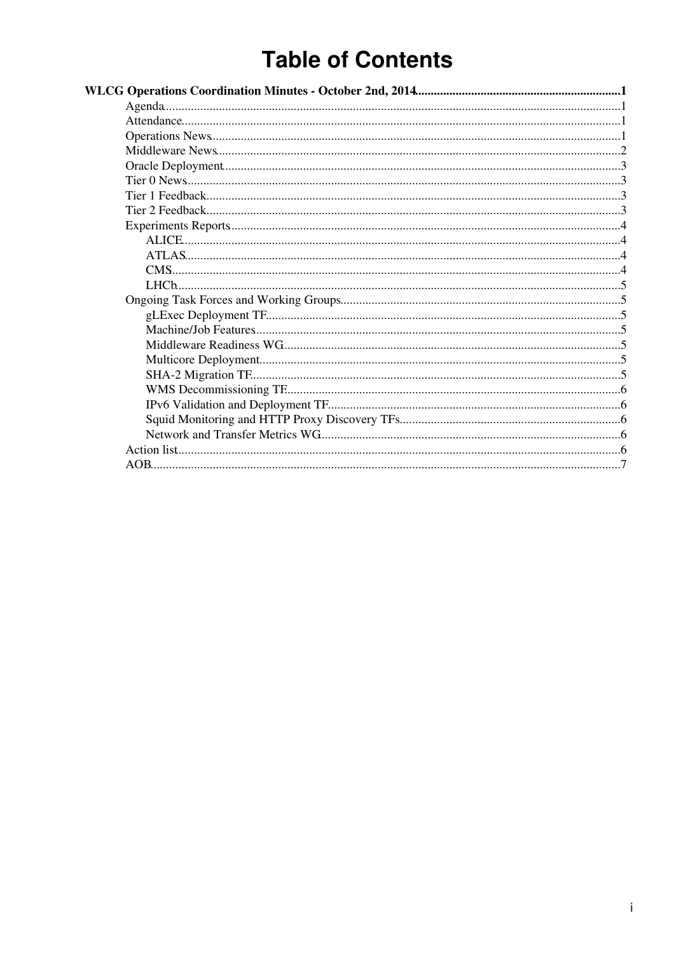# **Table of Contents**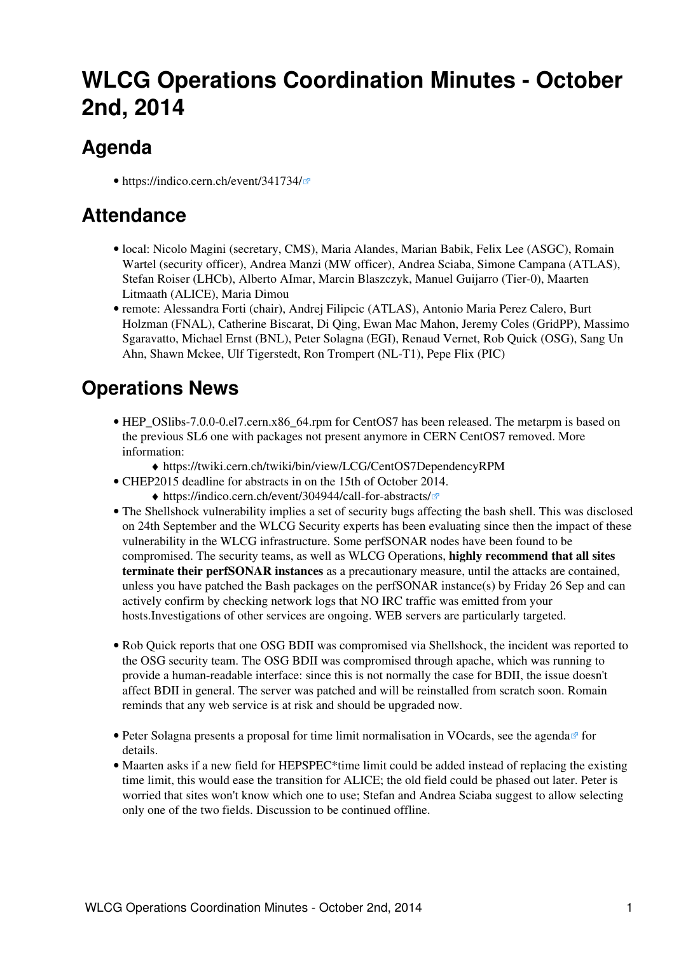# <span id="page-1-0"></span>**WLCG Operations Coordination Minutes - October 2nd, 2014**

## <span id="page-1-1"></span>**Agenda**

• <https://indico.cern.ch/event/341734/>

### <span id="page-1-2"></span>**Attendance**

- local: Nicolo Magini (secretary, CMS), Maria Alandes, Marian Babik, Felix Lee (ASGC), Romain Wartel (security officer), Andrea Manzi (MW officer), Andrea Sciaba, Simone Campana (ATLAS), Stefan Roiser (LHCb), Alberto AImar, Marcin Blaszczyk, Manuel Guijarro (Tier-0), Maarten Litmaath (ALICE), Maria Dimou
- remote: Alessandra Forti (chair), Andrej Filipcic (ATLAS), Antonio Maria Perez Calero, Burt Holzman (FNAL), Catherine Biscarat, Di Qing, Ewan Mac Mahon, Jeremy Coles ([GridPP](https://twiki.cern.ch/twiki/bin/view/LCG/GridPP)), Massimo Sgaravatto, Michael Ernst (BNL), Peter Solagna (EGI), Renaud Vernet, Rob Quick (OSG), Sang Un Ahn, Shawn Mckee, Ulf Tigerstedt, Ron Trompert (NL-T1), Pepe Flix (PIC)

### <span id="page-1-3"></span>**Operations News**

- HEP\_OSlibs-7.0.0-0.el7.cern.x86\_64.rpm for CentOS7 has been released. The metarpm is based on the previous SL6 one with packages not present anymore in CERN CentOS7 removed. More information:
	- ♦ <https://twiki.cern.ch/twiki/bin/view/LCG/CentOS7DependencyRPM>
- CHEP2015 deadline for abstracts in on the 15th of October 2014.
	- ♦ <https://indico.cern.ch/event/304944/call-for-abstracts/>
- The Shellshock vulnerability implies a set of security bugs affecting the bash shell. This was disclosed on 24th September and the WLCG Security experts has been evaluating since then the impact of these vulnerability in the WLCG infrastructure. Some perfSONAR nodes have been found to be compromised. The security teams, as well as WLCG Operations, **highly recommend that all sites terminate their perfSONAR instances** as a precautionary measure, until the attacks are contained, unless you have patched the Bash packages on the perfSONAR instance(s) by Friday 26 Sep and can actively confirm by checking network logs that NO IRC traffic was emitted from your hosts.Investigations of other services are ongoing. WEB servers are particularly targeted.
- Rob Quick reports that one OSG BDII was compromised via Shellshock, the incident was reported to the OSG security team. The OSG BDII was compromised through apache, which was running to provide a human-readable interface: since this is not normally the case for BDII, the issue doesn't affect BDII in general. The server was patched and will be reinstalled from scratch soon. Romain reminds that any web service is at risk and should be upgraded now.
- Peter Solagna presents a proposal for time limit normalisation in VOcards, see the agenda<sup>®</sup> for details.
- Maarten asks if a new field for HEPSPEC\*time limit could be added instead of replacing the existing time limit, this would ease the transition for ALICE; the old field could be phased out later. Peter is worried that sites won't know which one to use; Stefan and Andrea Sciaba suggest to allow selecting only one of the two fields. Discussion to be continued offline.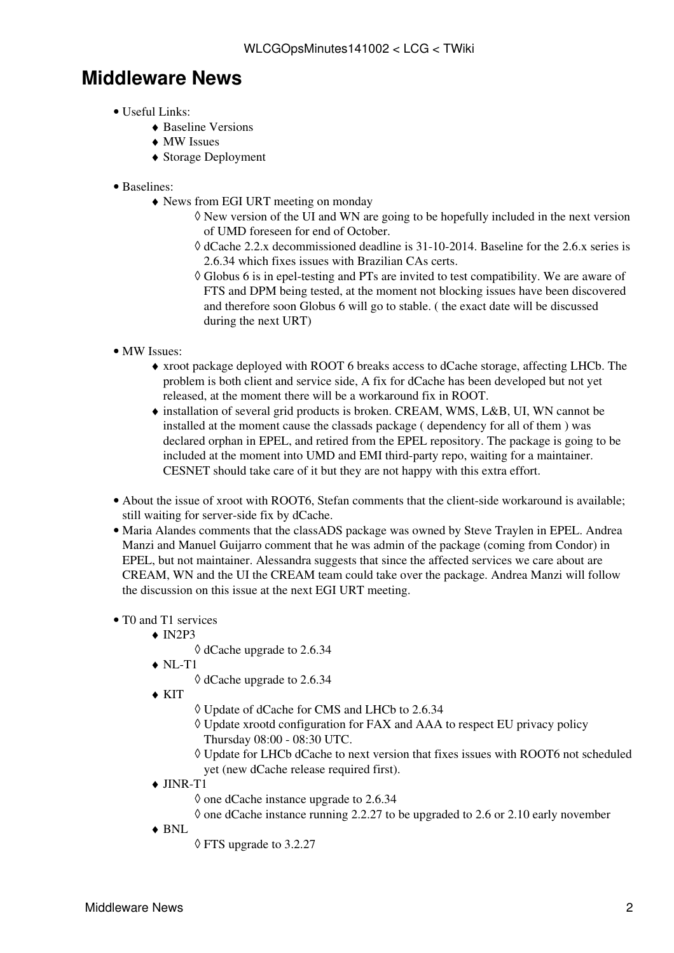### <span id="page-2-0"></span>**Middleware News**

- Useful Links:
	- ♦ [Baseline Versions](https://twiki.cern.ch/twiki/bin/view/LCG/WLCGBaselineVersions)
	- ♦ [MW Issues](https://twiki.cern.ch/twiki/bin/view/LCG/WLCGBaselineVersions#Issues_Affecting_the_WLCG_Infras)
	- ♦ [Storage Deployment](https://twiki.cern.ch/twiki/bin/view/LCG/WLCGT0T1GridServices#Storage_deployment)
- Baselines:
	- News from EGI URT meeting on monday ♦
		- New version of the UI and WN are going to be hopefully included in the next version ◊ of UMD foreseen for end of October.
		- dCache 2.2.x decommissioned deadline is 31-10-2014. Baseline for the 2.6.x series is ◊ 2.6.34 which fixes issues with Brazilian CAs certs.
		- Globus 6 is in epel-testing and PTs are invited to test compatibility. We are aware of ◊ FTS and DPM being tested, at the moment not blocking issues have been discovered and therefore soon Globus 6 will go to stable. ( the exact date will be discussed during the next URT)
- MW Issues:
	- xroot package deployed with ROOT 6 breaks access to dCache storage, affecting LHCb. The ♦ problem is both client and service side, A fix for dCache has been developed but not yet released, at the moment there will be a workaround fix in ROOT.
	- installation of several grid products is broken. [CREAM,](https://twiki.cern.ch/twiki/bin/view/LCG/CREAM) WMS, L&B, UI, WN cannot be ♦ installed at the moment cause the classads package ( dependency for all of them ) was declared orphan in EPEL, and retired from the EPEL repository. The package is going to be included at the moment into UMD and EMI third-party repo, waiting for a maintainer. CESNET should take care of it but they are not happy with this extra effort.
- About the issue of xroot with ROOT6, Stefan comments that the client-side workaround is available; still waiting for server-side fix by dCache.
- Maria Alandes comments that the classADS package was owned by Steve Traylen in EPEL. Andrea Manzi and Manuel Guijarro comment that he was admin of the package (coming from Condor) in EPEL, but not maintainer. Alessandra suggests that since the affected services we care about are [CREAM](https://twiki.cern.ch/twiki/bin/view/LCG/CREAM), WN and the UI the [CREAM](https://twiki.cern.ch/twiki/bin/view/LCG/CREAM) team could take over the package. Andrea Manzi will follow the discussion on this issue at the next EGI URT meeting.

#### • T0 and T1 services

- $\triangleleft$  [IN2P3](https://twiki.cern.ch/twiki/bin/view/LCG/IN2P3)
	- ◊ dCache upgrade to 2.6.34
- $\blacklozenge$  NL-T1
	- ◊ dCache upgrade to 2.6.34
- KIT ♦
- ◊ Update of dCache for CMS and LHCb to 2.6.34
- Update xrootd configuration for FAX and AAA to respect EU privacy policy ◊ Thursday 08:00 - 08:30 UTC.
- Update for LHCb dCache to next version that fixes issues with ROOT6 not scheduled ◊ yet (new dCache release required first).
- ◆ JINR-T1
	- ◊ one dCache instance upgrade to 2.6.34
	- $\Diamond$  one dCache instance running 2.2.27 to be upgraded to 2.6 or 2.10 early november
- BNL ♦
- ◊ FTS upgrade to 3.2.27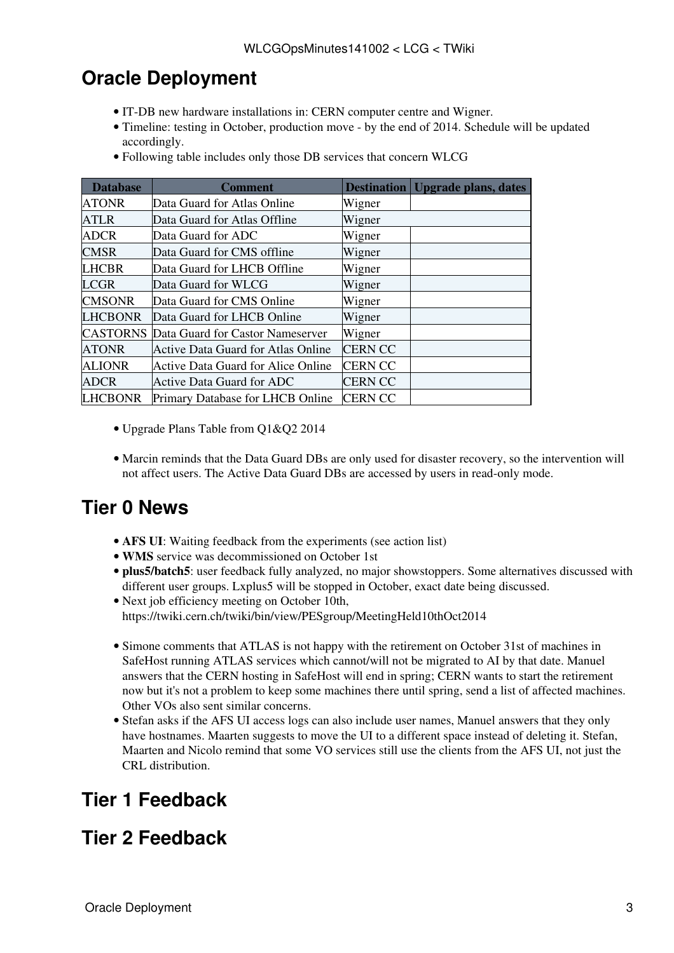## <span id="page-3-0"></span>**Oracle Deployment**

- IT-DB new hardware installations in: CERN computer centre and Wigner.
- Timeline: testing in October, production move by the end of 2014. Schedule will be updated accordingly.
- Following table includes only those DB services that concern WLCG

| <b>Database</b> | Comment                                   | <b>Destination</b> | <b>Upgrade plans, dates</b> |
|-----------------|-------------------------------------------|--------------------|-----------------------------|
| <b>ATONR</b>    | Data Guard for Atlas Online               | Wigner             |                             |
| <b>ATLR</b>     | Data Guard for Atlas Offline              | Wigner             |                             |
| <b>ADCR</b>     | Data Guard for ADC                        | Wigner             |                             |
| <b>CMSR</b>     | Data Guard for CMS offline                | Wigner             |                             |
| <b>LHCBR</b>    | Data Guard for LHCB Offline               | Wigner             |                             |
| <b>LCGR</b>     | Data Guard for WLCG                       | Wigner             |                             |
| <b>CMSONR</b>   | Data Guard for CMS Online                 | Wigner             |                             |
| <b>LHCBONR</b>  | Data Guard for LHCB Online                | Wigner             |                             |
| <b>CASTORNS</b> | Data Guard for Castor Nameserver          | Wigner             |                             |
| <b>ATONR</b>    | Active Data Guard for Atlas Online        | <b>CERN CC</b>     |                             |
| <b>ALIONR</b>   | <b>Active Data Guard for Alice Online</b> | <b>CERN CC</b>     |                             |
| <b>ADCR</b>     | Active Data Guard for ADC                 | <b>CERN CC</b>     |                             |
| <b>LHCBONR</b>  | Primary Database for LHCB Online          | <b>CERN CC</b>     |                             |

- [Upgrade Plans Table from Q1&Q2 2014](https://twiki.cern.ch/twiki/bin/view/LCG/OracleDeployment)
- Marcin reminds that the Data Guard DBs are only used for disaster recovery, so the intervention will not affect users. The Active Data Guard DBs are accessed by users in read-only mode.

### <span id="page-3-1"></span>**Tier 0 News**

- **AFS UI**: Waiting feedback from the experiments (see action list)
- **WMS** service was decommissioned on October 1st
- **plus5/batch5**: user feedback fully analyzed, no major showstoppers. Some alternatives discussed with different user groups. Lxplus5 will be stopped in October, exact date being discussed.
- Next job efficiency meeting on October 10th, https://twiki.cern.ch/twiki/bin/view/PESgroup/MeetingHeld10thOct2014
- Simone comments that ATLAS is not happy with the retirement on October 31st of machines in SafeHost running ATLAS services which cannot/will not be migrated to AI by that date. Manuel answers that the CERN hosting in SafeHost will end in spring; CERN wants to start the retirement now but it's not a problem to keep some machines there until spring, send a list of affected machines. Other VOs also sent similar concerns.
- Stefan asks if the AFS UI access logs can also include user names, Manuel answers that they only have hostnames. Maarten suggests to move the UI to a different space instead of deleting it. Stefan, Maarten and Nicolo remind that some VO services still use the clients from the AFS UI, not just the CRL distribution.

## <span id="page-3-2"></span>**Tier 1 Feedback**

### <span id="page-3-3"></span>**Tier 2 Feedback**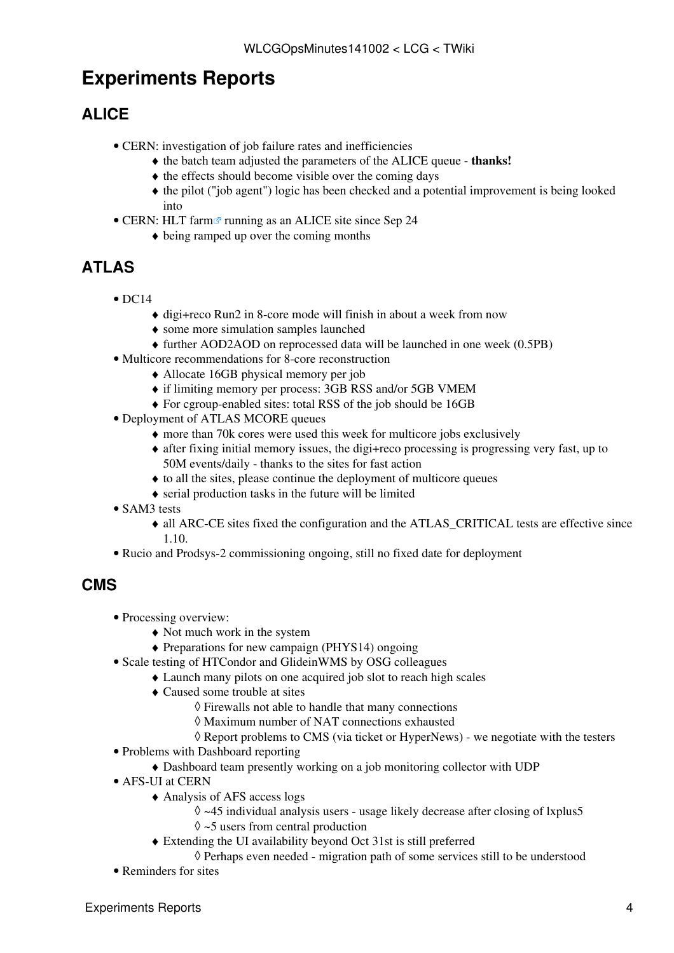## <span id="page-4-0"></span>**Experiments Reports**

### <span id="page-4-1"></span>**ALICE**

- CERN: investigation of job failure rates and inefficiencies
	- ♦ the batch team adjusted the parameters of the ALICE queue - **thanks!**
	- $\triangle$  the effects should become visible over the coming days
	- the pilot ("job agent") logic has been checked and a potential improvement is being looked ♦ into
- CERN: [HLT farm](http://alimonitor.cern.ch/display)<sup>2</sup> running as an ALICE site since Sep 24
	- ♦ being ramped up over the coming months

### <span id="page-4-2"></span>**ATLAS**

- $\bullet$  DC14
	- ♦ digi+reco Run2 in 8-core mode will finish in about a week from now
	- ♦ some more simulation samples launched
	- ♦ further [AOD2AOD](https://twiki.cern.ch/twiki/bin/edit/LCG/AOD2AOD?topicparent=LCG.WLCGOpsMinutes141002;nowysiwyg=1) on reprocessed data will be launched in one week (0.5PB)
- Multicore recommendations for 8-core reconstruction
	- ♦ Allocate 16GB physical memory per job
	- ♦ if limiting memory per process: 3GB RSS and/or 5GB VMEM
	- ♦ For cgroup-enabled sites: total RSS of the job should be 16GB
- Deployment of ATLAS MCORE queues
	- ♦ more than 70k cores were used this week for multicore jobs exclusively
	- after fixing initial memory issues, the digi+reco processing is progressing very fast, up to ♦ 50M events/daily - thanks to the sites for fast action
	- $\triangle$  to all the sites, please continue the deployment of multicore queues
	- ♦ serial production tasks in the future will be limited
- SAM3 tests
	- all ARC-CE sites fixed the configuration and the ATLAS\_CRITICAL tests are effective since ♦ 1.10.
- Rucio and Prodsys-2 commissioning ongoing, still no fixed date for deployment

#### <span id="page-4-3"></span>**CMS**

- Processing overview:
	- ♦ Not much work in the system
	- ♦ Preparations for new campaign (PHYS14) ongoing
- Scale testing of HTCondor and [GlideinWMS](https://twiki.cern.ch/twiki/bin/edit/LCG/GlideinWMS?topicparent=LCG.WLCGOpsMinutes141002;nowysiwyg=1) by OSG colleagues
	- ♦ Launch many pilots on one acquired job slot to reach high scales
	- Caused some trouble at sites ♦
		- ◊ Firewalls not able to handle that many connections
		- ◊ Maximum number of NAT connections exhausted
		- ◊ Report problems to CMS (via ticket or [HyperNews](https://twiki.cern.ch/twiki/bin/edit/LCG/HyperNews?topicparent=LCG.WLCGOpsMinutes141002;nowysiwyg=1)) we negotiate with the testers
- Problems with Dashboard reporting
	- ♦ Dashboard team presently working on a job monitoring collector with UDP
- AFS-UI at CERN
	- Analysis of AFS access logs ♦
		- $\lozenge$  ~45 individual analysis users usage likely decrease after closing of lxplus5
		- $\Diamond$  ~5 users from central production
	- Extending the UI availability beyond Oct 31st is still preferred ♦
		- ◊ Perhaps even needed migration path of some services still to be understood
- Reminders for sites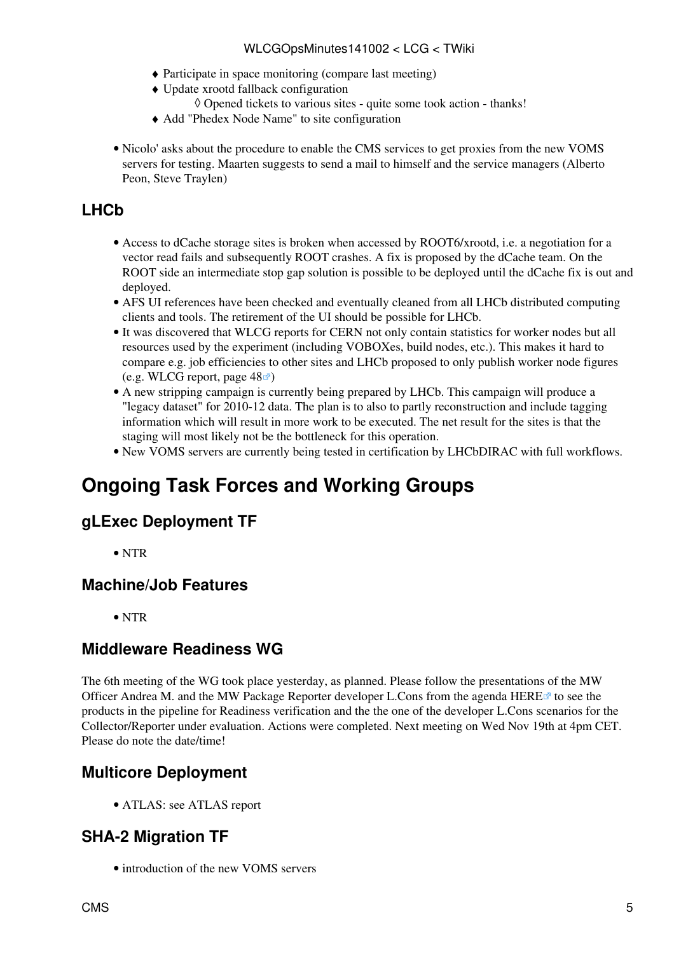#### WLCGOpsMinutes141002 < LCG < TWiki

- ♦ Participate in space monitoring (compare last meeting)
- Update xrootd fallback configuration ♦
	- ◊ Opened tickets to various sites quite some took action thanks!
- ♦ Add "Phedex Node Name" to site configuration
- Nicolo' asks about the procedure to enable the CMS services to get proxies from the new [VOMS](https://twiki.cern.ch/twiki/bin/view/LCG/VOMS) servers for testing. Maarten suggests to send a mail to himself and the service managers (Alberto Peon, Steve Traylen)

#### <span id="page-5-0"></span>**LHCb**

- Access to dCache storage sites is broken when accessed by ROOT6/xrootd, i.e. a negotiation for a vector read fails and subsequently ROOT crashes. A fix is proposed by the dCache team. On the ROOT side an intermediate stop gap solution is possible to be deployed until the dCache fix is out and deployed.
- AFS UI references have been checked and eventually cleaned from all LHCb distributed computing clients and tools. The retirement of the UI should be possible for LHCb.
- It was discovered that WLCG reports for CERN not only contain statistics for worker nodes but all resources used by the experiment (including VOBOXes, build nodes, etc.). This makes it hard to compare e.g. job efficiencies to other sites and LHCb proposed to only publish worker node figures (e.g. WLCG report, page  $48 \times$ )
- A new stripping campaign is currently being prepared by LHCb. This campaign will produce a "legacy dataset" for 2010-12 data. The plan is to also to partly reconstruction and include tagging information which will result in more work to be executed. The net result for the sites is that the staging will most likely not be the bottleneck for this operation.
- New [VOMS](https://twiki.cern.ch/twiki/bin/view/LCG/VOMS) servers are currently being tested in certification by [LHCbDIRAC](https://twiki.cern.ch/twiki/bin/edit/LCG/LHCbDIRAC?topicparent=LCG.WLCGOpsMinutes141002;nowysiwyg=1) with full workflows.

### <span id="page-5-1"></span>**Ongoing Task Forces and Working Groups**

#### <span id="page-5-2"></span>**gLExec Deployment TF**

• NTR

#### <span id="page-5-3"></span>**Machine/Job Features**

• NTR

#### <span id="page-5-4"></span>**Middleware Readiness WG**

The 6th meeting of the WG took place yesterday, as planned. Please follow the presentations of the MW Officer Andrea M. and the MW Package Reporter developer L.Cons from the agenda HERE $\sigma$  to see the products in the pipeline for Readiness verification and the the one of the developer L.Cons scenarios for the Collector/Reporter under evaluation. Actions were completed. Next meeting on Wed Nov 19th at 4pm CET. Please do note the date/time!

#### <span id="page-5-5"></span>**Multicore Deployment**

• ATLAS: see ATLAS report

#### <span id="page-5-6"></span>**SHA-2 Migration TF**

• introduction of the new VOMS servers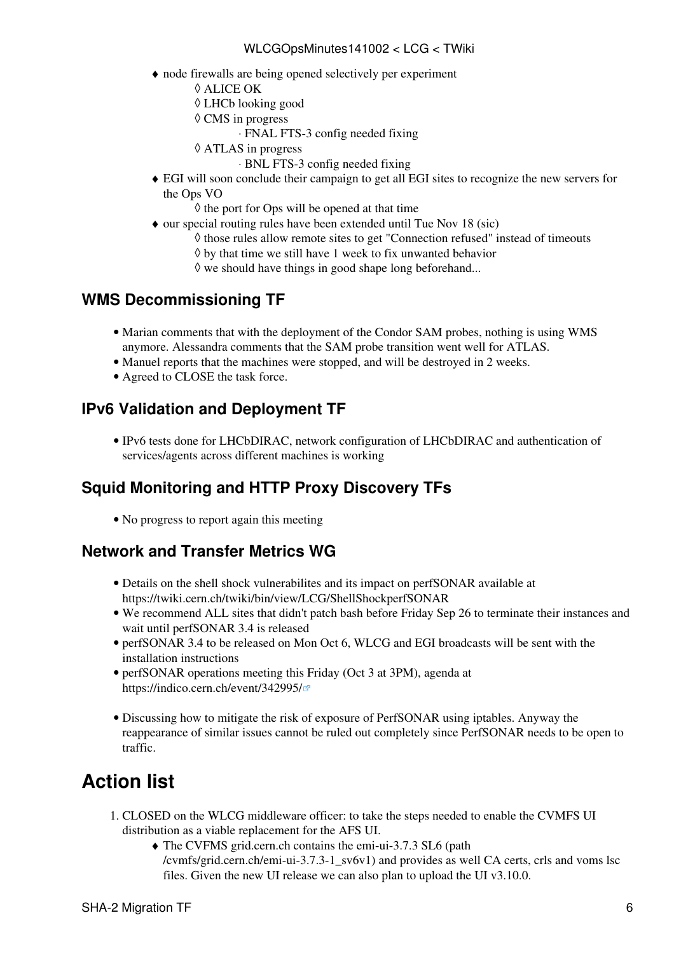#### WLCGOpsMinutes141002 < LCG < TWiki

- node firewalls are being opened selectively per experiment ♦
	- ◊ ALICE OK
	- ◊ LHCb looking good
	- CMS in progress ◊
		- ⋅ FNAL FTS-3 config needed fixing
	- ATLAS in progress ◊
		- ⋅ BNL FTS-3 config needed fixing
- EGI will soon conclude their campaign to get all EGI sites to recognize the new servers for ♦ the Ops VO
	- $\Diamond$  the port for Ops will be opened at that time
- our special routing rules have been extended until Tue Nov 18 (sic)
	- ◊ those rules allow remote sites to get "Connection refused" instead of timeouts
	- $\Diamond$  by that time we still have 1 week to fix unwanted behavior
	- $\Diamond$  we should have things in good shape long beforehand...

#### <span id="page-6-0"></span>**WMS Decommissioning TF**

- Marian comments that with the deployment of the Condor SAM probes, nothing is using WMS anymore. Alessandra comments that the SAM probe transition went well for ATLAS.
- Manuel reports that the machines were stopped, and will be destroyed in 2 weeks.
- Agreed to CLOSE the task force.

#### <span id="page-6-1"></span>**IPv6 Validation and Deployment TF**

IPv6 tests done for [LHCbDIRAC](https://twiki.cern.ch/twiki/bin/edit/LCG/LHCbDIRAC?topicparent=LCG.WLCGOpsMinutes141002;nowysiwyg=1), network configuration of [LHCbDIRAC](https://twiki.cern.ch/twiki/bin/edit/LCG/LHCbDIRAC?topicparent=LCG.WLCGOpsMinutes141002;nowysiwyg=1) and authentication of • services/agents across different machines is working

### <span id="page-6-2"></span>**Squid Monitoring and HTTP Proxy Discovery TFs**

• No progress to report again this meeting

#### <span id="page-6-3"></span>**Network and Transfer Metrics WG**

- Details on the shell shock vulnerabilites and its impact on perfSONAR available at <https://twiki.cern.ch/twiki/bin/view/LCG/ShellShockperfSONAR>
- We recommend ALL sites that didn't patch bash before Friday Sep 26 to terminate their instances and wait until perfSONAR 3.4 is released
- perfSONAR 3.4 to be released on Mon Oct 6, WLCG and EGI broadcasts will be sent with the installation instructions
- perfSONAR operations meeting this Friday (Oct 3 at 3PM), agenda at <https://indico.cern.ch/event/342995/>
- Discussing how to mitigate the risk of exposure of PerfSONAR using iptables. Anyway the reappearance of similar issues cannot be ruled out completely since PerfSONAR needs to be open to traffic.

## <span id="page-6-4"></span>**Action list**

- 1. CLOSED on the WLCG middleware officer: to take the steps needed to enable the CVMFS UI distribution as a viable replacement for the AFS UI.
	- The CVFMS grid.cern.ch contains the emi-ui-3.7.3 SL6 (path ♦  $/cv$ mfs/grid.cern.ch/emi-ui-3.7.3-1\_sv6v1) and provides as well CA certs, crls and voms lsc files. Given the new UI release we can also plan to upload the UI v3.10.0.